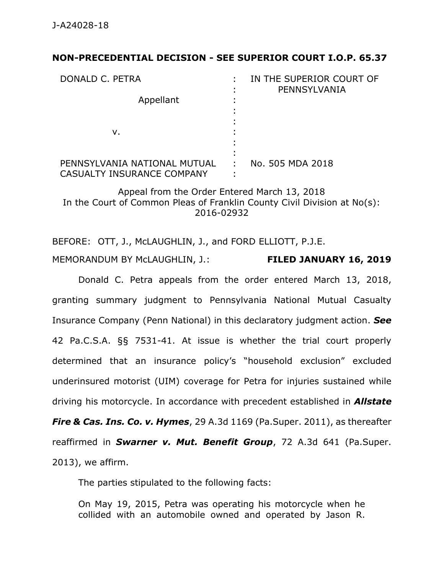## **NON-PRECEDENTIAL DECISION - SEE SUPERIOR COURT I.O.P. 65.37**

| DONALD C. PETRA<br>Appellant                               |   | IN THE SUPERIOR COURT OF<br>PENNSYLVANIA |
|------------------------------------------------------------|---|------------------------------------------|
| v.                                                         |   |                                          |
| PENNSYLVANIA NATIONAL MUTUAL<br>CASUALTY INSURANCE COMPANY | ÷ | No. 505 MDA 2018                         |

Appeal from the Order Entered March 13, 2018 In the Court of Common Pleas of Franklin County Civil Division at No(s): 2016-02932

BEFORE: OTT, J., McLAUGHLIN, J., and FORD ELLIOTT, P.J.E. MEMORANDUM BY McLAUGHLIN, J.: **FILED JANUARY 16, 2019**

Donald C. Petra appeals from the order entered March 13, 2018, granting summary judgment to Pennsylvania National Mutual Casualty Insurance Company (Penn National) in this declaratory judgment action. *See* 42 Pa.C.S.A. §§ 7531-41. At issue is whether the trial court properly determined that an insurance policy's "household exclusion" excluded underinsured motorist (UIM) coverage for Petra for injuries sustained while driving his motorcycle. In accordance with precedent established in *Allstate Fire & Cas. Ins. Co. v. Hymes*, 29 A.3d 1169 (Pa.Super. 2011), as thereafter reaffirmed in *Swarner v. Mut. Benefit Group*, 72 A.3d 641 (Pa.Super. 2013), we affirm.

The parties stipulated to the following facts:

On May 19, 2015, Petra was operating his motorcycle when he collided with an automobile owned and operated by Jason R.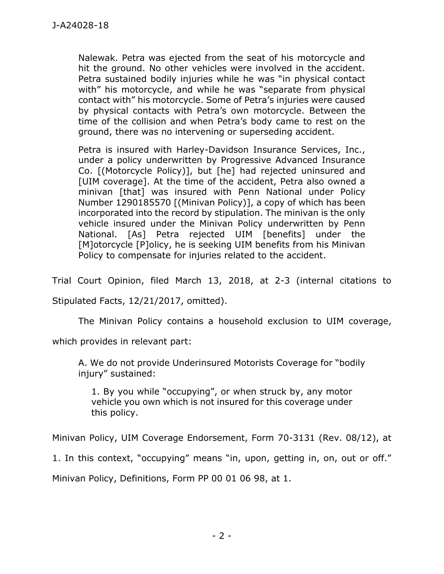Nalewak. Petra was ejected from the seat of his motorcycle and hit the ground. No other vehicles were involved in the accident. Petra sustained bodily injuries while he was "in physical contact with" his motorcycle, and while he was "separate from physical contact with" his motorcycle. Some of Petra's injuries were caused by physical contacts with Petra's own motorcycle. Between the time of the collision and when Petra's body came to rest on the ground, there was no intervening or superseding accident.

Petra is insured with Harley-Davidson Insurance Services, Inc., under a policy underwritten by Progressive Advanced Insurance Co. [(Motorcycle Policy)], but [he] had rejected uninsured and [UIM coverage]. At the time of the accident, Petra also owned a minivan [that] was insured with Penn National under Policy Number 1290185570 [(Minivan Policy)], a copy of which has been incorporated into the record by stipulation. The minivan is the only vehicle insured under the Minivan Policy underwritten by Penn National. [As] Petra rejected UIM [benefits] under the [M]otorcycle [P]olicy, he is seeking UIM benefits from his Minivan Policy to compensate for injuries related to the accident.

Trial Court Opinion, filed March 13, 2018, at 2-3 (internal citations to

Stipulated Facts, 12/21/2017, omitted).

The Minivan Policy contains a household exclusion to UIM coverage,

which provides in relevant part:

A. We do not provide Underinsured Motorists Coverage for "bodily injury" sustained:

1. By you while "occupying", or when struck by, any motor vehicle you own which is not insured for this coverage under this policy.

Minivan Policy, UIM Coverage Endorsement, Form 70-3131 (Rev. 08/12), at

1. In this context, "occupying" means "in, upon, getting in, on, out or off."

Minivan Policy, Definitions, Form PP 00 01 06 98, at 1.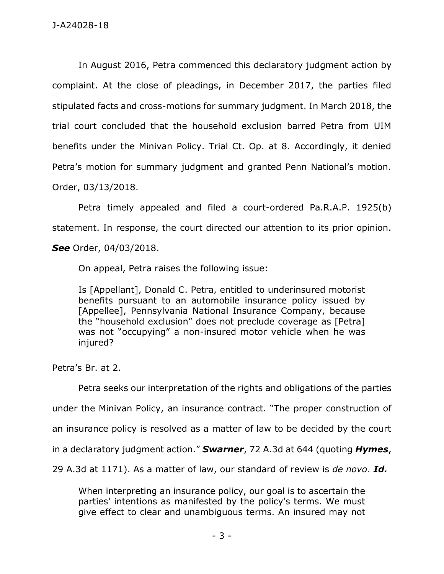In August 2016, Petra commenced this declaratory judgment action by complaint. At the close of pleadings, in December 2017, the parties filed stipulated facts and cross-motions for summary judgment. In March 2018, the trial court concluded that the household exclusion barred Petra from UIM benefits under the Minivan Policy. Trial Ct. Op. at 8. Accordingly, it denied Petra's motion for summary judgment and granted Penn National's motion. Order, 03/13/2018.

Petra timely appealed and filed a court-ordered Pa.R.A.P. 1925(b) statement. In response, the court directed our attention to its prior opinion. *See* Order, 04/03/2018.

On appeal, Petra raises the following issue:

Is [Appellant], Donald C. Petra, entitled to underinsured motorist benefits pursuant to an automobile insurance policy issued by [Appellee], Pennsylvania National Insurance Company, because the "household exclusion" does not preclude coverage as [Petra] was not "occupying" a non-insured motor vehicle when he was injured?

Petra's Br. at 2.

Petra seeks our interpretation of the rights and obligations of the parties under the Minivan Policy, an insurance contract. "The proper construction of an insurance policy is resolved as a matter of law to be decided by the court in a declaratory judgment action." *Swarner*, 72 A.3d at 644 (quoting *Hymes*, 29 A.3d at 1171). As a matter of law, our standard of review is *de novo*. *Id.*

When interpreting an insurance policy, our goal is to ascertain the parties' intentions as manifested by the policy's terms. We must give effect to clear and unambiguous terms. An insured may not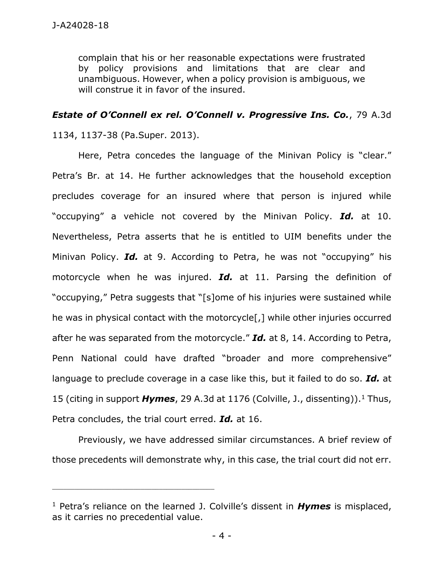complain that his or her reasonable expectations were frustrated by policy provisions and limitations that are clear and unambiguous. However, when a policy provision is ambiguous, we will construe it in favor of the insured.

## *Estate of O'Connell ex rel. O'Connell v. Progressive Ins. Co.*, 79 A.3d

1134, 1137-38 (Pa.Super. 2013).

\_\_\_\_\_\_\_\_\_\_\_\_\_\_\_\_\_\_\_\_\_\_\_\_\_\_\_\_\_\_\_\_\_\_\_\_\_\_\_\_\_\_\_\_

Here, Petra concedes the language of the Minivan Policy is "clear." Petra's Br. at 14. He further acknowledges that the household exception precludes coverage for an insured where that person is injured while "occupying" a vehicle not covered by the Minivan Policy. *Id.* at 10. Nevertheless, Petra asserts that he is entitled to UIM benefits under the Minivan Policy. *Id.* at 9. According to Petra, he was not "occupying" his motorcycle when he was injured. *Id.* at 11. Parsing the definition of "occupying," Petra suggests that "[s]ome of his injuries were sustained while he was in physical contact with the motorcycle[,] while other injuries occurred after he was separated from the motorcycle." *Id.* at 8, 14. According to Petra, Penn National could have drafted "broader and more comprehensive" language to preclude coverage in a case like this, but it failed to do so. *Id.* at 15 (citing in support *Hymes*, 29 A.3d at 1176 (Colville, J., dissenting)). <sup>1</sup> Thus, Petra concludes, the trial court erred. *Id.* at 16.

Previously, we have addressed similar circumstances. A brief review of those precedents will demonstrate why, in this case, the trial court did not err.

<sup>1</sup> Petra's reliance on the learned J. Colville's dissent in *Hymes* is misplaced, as it carries no precedential value.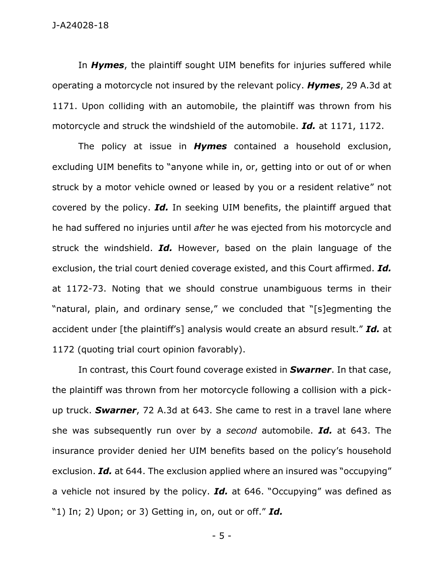In *Hymes*, the plaintiff sought UIM benefits for injuries suffered while operating a motorcycle not insured by the relevant policy. *Hymes*, 29 A.3d at 1171. Upon colliding with an automobile, the plaintiff was thrown from his motorcycle and struck the windshield of the automobile. *Id.* at 1171, 1172.

The policy at issue in *Hymes* contained a household exclusion, excluding UIM benefits to "anyone while in, or, getting into or out of or when struck by a motor vehicle owned or leased by you or a resident relative" not covered by the policy. *Id.* In seeking UIM benefits, the plaintiff argued that he had suffered no injuries until *after* he was ejected from his motorcycle and struck the windshield. *Id.* However, based on the plain language of the exclusion, the trial court denied coverage existed, and this Court affirmed. *Id.* at 1172-73. Noting that we should construe unambiguous terms in their "natural, plain, and ordinary sense," we concluded that "[s]egmenting the accident under [the plaintiff's] analysis would create an absurd result." *Id.* at 1172 (quoting trial court opinion favorably).

In contrast, this Court found coverage existed in *Swarner*. In that case, the plaintiff was thrown from her motorcycle following a collision with a pickup truck. *Swarner*, 72 A.3d at 643. She came to rest in a travel lane where she was subsequently run over by a *second* automobile. *Id.* at 643. The insurance provider denied her UIM benefits based on the policy's household exclusion. *Id.* at 644. The exclusion applied where an insured was "occupying" a vehicle not insured by the policy. *Id.* at 646. "Occupying" was defined as "1) In; 2) Upon; or 3) Getting in, on, out or off." *Id.*

- 5 -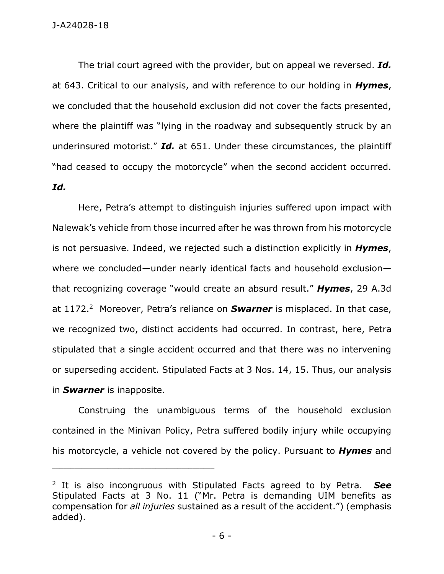The trial court agreed with the provider, but on appeal we reversed. *Id.* at 643. Critical to our analysis, and with reference to our holding in *Hymes*, we concluded that the household exclusion did not cover the facts presented, where the plaintiff was "lying in the roadway and subsequently struck by an underinsured motorist." *Id.* at 651. Under these circumstances, the plaintiff "had ceased to occupy the motorcycle" when the second accident occurred. *Id.*

Here, Petra's attempt to distinguish injuries suffered upon impact with Nalewak's vehicle from those incurred after he was thrown from his motorcycle is not persuasive. Indeed, we rejected such a distinction explicitly in *Hymes*, where we concluded—under nearly identical facts and household exclusion that recognizing coverage "would create an absurd result." *Hymes*, 29 A.3d at 1172.<sup>2</sup> Moreover, Petra's reliance on **Swarner** is misplaced. In that case, we recognized two, distinct accidents had occurred. In contrast, here, Petra stipulated that a single accident occurred and that there was no intervening or superseding accident. Stipulated Facts at 3 Nos. 14, 15. Thus, our analysis in *Swarner* is inapposite.

Construing the unambiguous terms of the household exclusion contained in the Minivan Policy, Petra suffered bodily injury while occupying his motorcycle, a vehicle not covered by the policy. Pursuant to *Hymes* and

\_\_\_\_\_\_\_\_\_\_\_\_\_\_\_\_\_\_\_\_\_\_\_\_\_\_\_\_\_\_\_\_\_\_\_\_\_\_\_\_\_\_\_\_

<sup>2</sup> It is also incongruous with Stipulated Facts agreed to by Petra. *See* Stipulated Facts at 3 No. 11 ("Mr. Petra is demanding UIM benefits as compensation for *all injuries* sustained as a result of the accident.") (emphasis added).